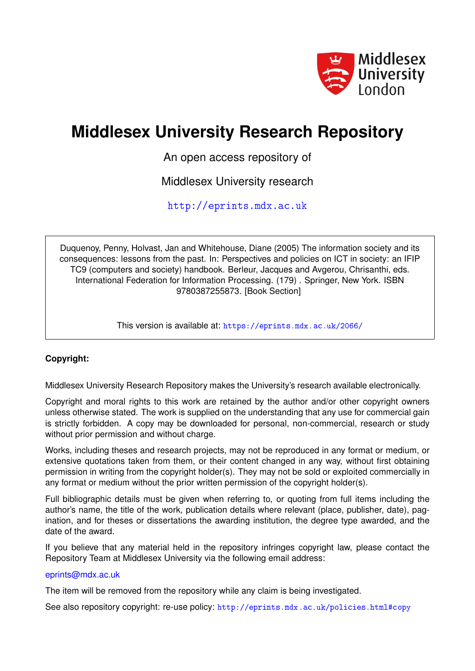

# **Middlesex University Research Repository**

An open access repository of

Middlesex University research

<http://eprints.mdx.ac.uk>

Duquenoy, Penny, Holvast, Jan and Whitehouse, Diane (2005) The information society and its consequences: lessons from the past. In: Perspectives and policies on ICT in society: an IFIP TC9 (computers and society) handbook. Berleur, Jacques and Avgerou, Chrisanthi, eds. International Federation for Information Processing. (179) . Springer, New York. ISBN 9780387255873. [Book Section]

This version is available at: <https://eprints.mdx.ac.uk/2066/>

# **Copyright:**

Middlesex University Research Repository makes the University's research available electronically.

Copyright and moral rights to this work are retained by the author and/or other copyright owners unless otherwise stated. The work is supplied on the understanding that any use for commercial gain is strictly forbidden. A copy may be downloaded for personal, non-commercial, research or study without prior permission and without charge.

Works, including theses and research projects, may not be reproduced in any format or medium, or extensive quotations taken from them, or their content changed in any way, without first obtaining permission in writing from the copyright holder(s). They may not be sold or exploited commercially in any format or medium without the prior written permission of the copyright holder(s).

Full bibliographic details must be given when referring to, or quoting from full items including the author's name, the title of the work, publication details where relevant (place, publisher, date), pagination, and for theses or dissertations the awarding institution, the degree type awarded, and the date of the award.

If you believe that any material held in the repository infringes copyright law, please contact the Repository Team at Middlesex University via the following email address:

#### [eprints@mdx.ac.uk](mailto:eprints@mdx.ac.uk)

The item will be removed from the repository while any claim is being investigated.

See also repository copyright: re-use policy: <http://eprints.mdx.ac.uk/policies.html#copy>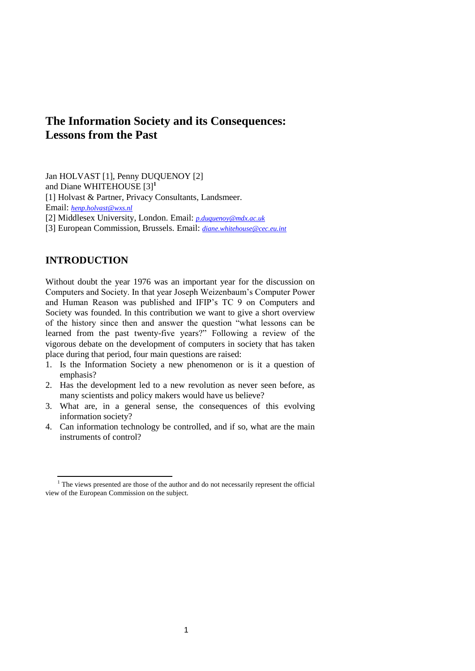# **The Information Society and its Consequences: Lessons from the Past**

Jan HOLVAST [1], Penny DUQUENOY [2] and Diane WHITEHOUSE [3]**<sup>1</sup>** [1] Holvast & Partner, Privacy Consultants, Landsmeer. Email: *[henp.holvast@wxs.nl](mailto:henp.holvast@wxs.nl)* [2] Middlesex University, London. Email: *[p.duquenoy@mdx.ac.uk](mailto:p.duquenoy@mdx.ac.uk)* [3] European Commission, Brussels. Email: *[diane.whitehouse@cec.eu.int](mailto:diane.whitehouse@cec.eu.int)*

#### **INTRODUCTION**

-

Without doubt the year 1976 was an important year for the discussion on Computers and Society. In that year Joseph Weizenbaum"s Computer Power and Human Reason was published and IFIP"s TC 9 on Computers and Society was founded. In this contribution we want to give a short overview of the history since then and answer the question "what lessons can be learned from the past twenty-five years?" Following a review of the vigorous debate on the development of computers in society that has taken place during that period, four main questions are raised:

- 1. Is the Information Society a new phenomenon or is it a question of emphasis?
- 2. Has the development led to a new revolution as never seen before, as many scientists and policy makers would have us believe?
- 3. What are, in a general sense, the consequences of this evolving information society?
- 4. Can information technology be controlled, and if so, what are the main instruments of control?

 $1$ . The views presented are those of the author and do not necessarily represent the official view of the European Commission on the subject.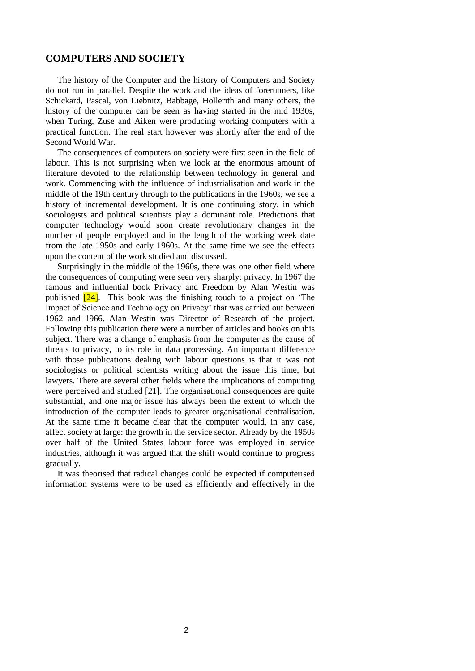#### **COMPUTERS AND SOCIETY**

The history of the Computer and the history of Computers and Society do not run in parallel. Despite the work and the ideas of forerunners, like Schickard, Pascal, von Liebnitz, Babbage, Hollerith and many others, the history of the computer can be seen as having started in the mid 1930s, when Turing, Zuse and Aiken were producing working computers with a practical function. The real start however was shortly after the end of the Second World War.

The consequences of computers on society were first seen in the field of labour. This is not surprising when we look at the enormous amount of literature devoted to the relationship between technology in general and work. Commencing with the influence of industrialisation and work in the middle of the 19th century through to the publications in the 1960s, we see a history of incremental development. It is one continuing story, in which sociologists and political scientists play a dominant role. Predictions that computer technology would soon create revolutionary changes in the number of people employed and in the length of the working week date from the late 1950s and early 1960s. At the same time we see the effects upon the content of the work studied and discussed.

Surprisingly in the middle of the 1960s, there was one other field where the consequences of computing were seen very sharply: privacy. In 1967 the famous and influential book Privacy and Freedom by Alan Westin was published [24]. This book was the finishing touch to a project on "The Impact of Science and Technology on Privacy" that was carried out between 1962 and 1966. Alan Westin was Director of Research of the project. Following this publication there were a number of articles and books on this subject. There was a change of emphasis from the computer as the cause of threats to privacy, to its role in data processing. An important difference with those publications dealing with labour questions is that it was not sociologists or political scientists writing about the issue this time, but lawyers. There are several other fields where the implications of computing were perceived and studied [21]. The organisational consequences are quite substantial, and one major issue has always been the extent to which the introduction of the computer leads to greater organisational centralisation. At the same time it became clear that the computer would, in any case, affect society at large: the growth in the service sector. Already by the 1950s over half of the United States labour force was employed in service industries, although it was argued that the shift would continue to progress gradually.

It was theorised that radical changes could be expected if computerised information systems were to be used as efficiently and effectively in the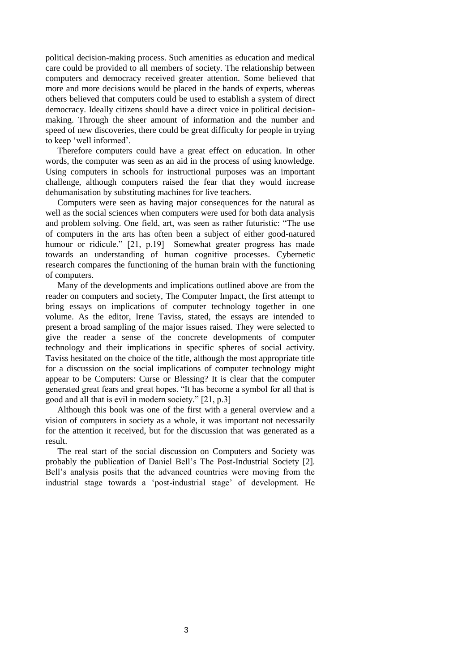political decision-making process. Such amenities as education and medical care could be provided to all members of society. The relationship between computers and democracy received greater attention. Some believed that more and more decisions would be placed in the hands of experts, whereas others believed that computers could be used to establish a system of direct democracy. Ideally citizens should have a direct voice in political decisionmaking. Through the sheer amount of information and the number and speed of new discoveries, there could be great difficulty for people in trying to keep "well informed".

Therefore computers could have a great effect on education. In other words, the computer was seen as an aid in the process of using knowledge. Using computers in schools for instructional purposes was an important challenge, although computers raised the fear that they would increase dehumanisation by substituting machines for live teachers.

Computers were seen as having major consequences for the natural as well as the social sciences when computers were used for both data analysis and problem solving. One field, art, was seen as rather futuristic: "The use of computers in the arts has often been a subject of either good-natured humour or ridicule." [21, p.19] Somewhat greater progress has made towards an understanding of human cognitive processes. Cybernetic research compares the functioning of the human brain with the functioning of computers.

Many of the developments and implications outlined above are from the reader on computers and society, The Computer Impact, the first attempt to bring essays on implications of computer technology together in one volume. As the editor, Irene Taviss, stated, the essays are intended to present a broad sampling of the major issues raised. They were selected to give the reader a sense of the concrete developments of computer technology and their implications in specific spheres of social activity. Taviss hesitated on the choice of the title, although the most appropriate title for a discussion on the social implications of computer technology might appear to be Computers: Curse or Blessing? It is clear that the computer generated great fears and great hopes. "It has become a symbol for all that is good and all that is evil in modern society." [21, p.3]

Although this book was one of the first with a general overview and a vision of computers in society as a whole, it was important not necessarily for the attention it received, but for the discussion that was generated as a result.

The real start of the social discussion on Computers and Society was probably the publication of Daniel Bell"s The Post-Industrial Society [2]. Bell"s analysis posits that the advanced countries were moving from the industrial stage towards a "post-industrial stage" of development. He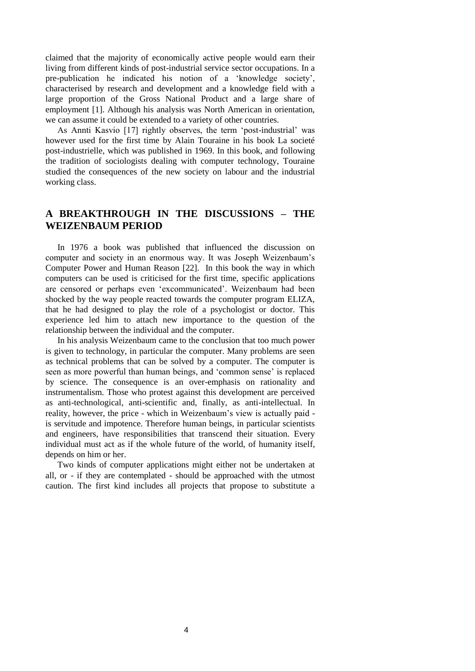claimed that the majority of economically active people would earn their living from different kinds of post-industrial service sector occupations. In a pre-publication he indicated his notion of a "knowledge society", characterised by research and development and a knowledge field with a large proportion of the Gross National Product and a large share of employment [1]. Although his analysis was North American in orientation, we can assume it could be extended to a variety of other countries.

As Annti Kasvio [17] rightly observes, the term "post-industrial" was however used for the first time by Alain Touraine in his book La societé post-industrielle, which was published in 1969. In this book, and following the tradition of sociologists dealing with computer technology, Touraine studied the consequences of the new society on labour and the industrial working class.

## **A BREAKTHROUGH IN THE DISCUSSIONS – THE WEIZENBAUM PERIOD**

In 1976 a book was published that influenced the discussion on computer and society in an enormous way. It was Joseph Weizenbaum"s Computer Power and Human Reason [22]. In this book the way in which computers can be used is criticised for the first time, specific applications are censored or perhaps even "excommunicated". Weizenbaum had been shocked by the way people reacted towards the computer program ELIZA, that he had designed to play the role of a psychologist or doctor. This experience led him to attach new importance to the question of the relationship between the individual and the computer.

In his analysis Weizenbaum came to the conclusion that too much power is given to technology, in particular the computer. Many problems are seen as technical problems that can be solved by a computer. The computer is seen as more powerful than human beings, and 'common sense' is replaced by science. The consequence is an over-emphasis on rationality and instrumentalism. Those who protest against this development are perceived as anti-technological, anti-scientific and, finally, as anti-intellectual. In reality, however, the price - which in Weizenbaum"s view is actually paid is servitude and impotence. Therefore human beings, in particular scientists and engineers, have responsibilities that transcend their situation. Every individual must act as if the whole future of the world, of humanity itself, depends on him or her.

Two kinds of computer applications might either not be undertaken at all, or - if they are contemplated - should be approached with the utmost caution. The first kind includes all projects that propose to substitute a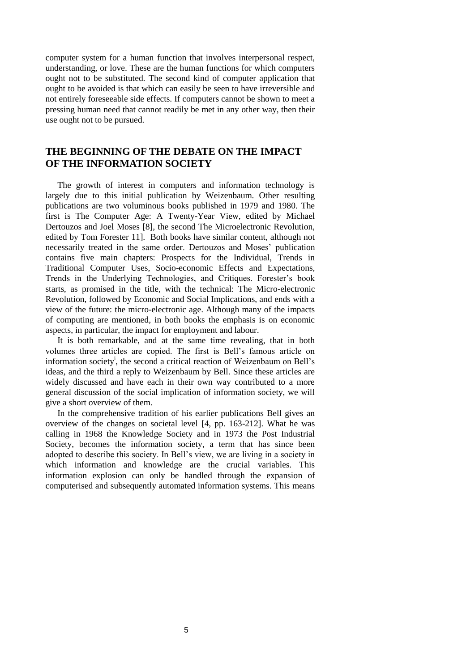computer system for a human function that involves interpersonal respect, understanding, or love. These are the human functions for which computers ought not to be substituted. The second kind of computer application that ought to be avoided is that which can easily be seen to have irreversible and not entirely foreseeable side effects. If computers cannot be shown to meet a pressing human need that cannot readily be met in any other way, then their use ought not to be pursued.

## **THE BEGINNING OF THE DEBATE ON THE IMPACT OF THE INFORMATION SOCIETY**

The growth of interest in computers and information technology is largely due to this initial publication by Weizenbaum. Other resulting publications are two voluminous books published in 1979 and 1980. The first is The Computer Age: A Twenty-Year View, edited by Michael Dertouzos and Joel Moses [8], the second The Microelectronic Revolution, edited by Tom Forester 11]. Both books have similar content, although not necessarily treated in the same order. Dertouzos and Moses" publication contains five main chapters: Prospects for the Individual, Trends in Traditional Computer Uses, Socio-economic Effects and Expectations, Trends in the Underlying Technologies, and Critiques. Forester's book starts, as promised in the title, with the technical: The Micro-electronic Revolution, followed by Economic and Social Implications, and ends with a view of the future: the micro-electronic age. Although many of the impacts of computing are mentioned, in both books the emphasis is on economic aspects, in particular, the impact for employment and labour.

It is both remarkable, and at the same time revealing, that in both volumes three articles are copied. The first is Bell"s famous article on information society<sup>i</sup>, the second a critical reaction of Weizenbaum on Bell's ideas, and the third a reply to Weizenbaum by Bell. Since these articles are widely discussed and have each in their own way contributed to a more general discussion of the social implication of information society, we will give a short overview of them.

In the comprehensive tradition of his earlier publications Bell gives an overview of the changes on societal level [4, pp. 163-212]. What he was calling in 1968 the Knowledge Society and in 1973 the Post Industrial Society, becomes the information society, a term that has since been adopted to describe this society. In Bell"s view, we are living in a society in which information and knowledge are the crucial variables. This information explosion can only be handled through the expansion of computerised and subsequently automated information systems. This means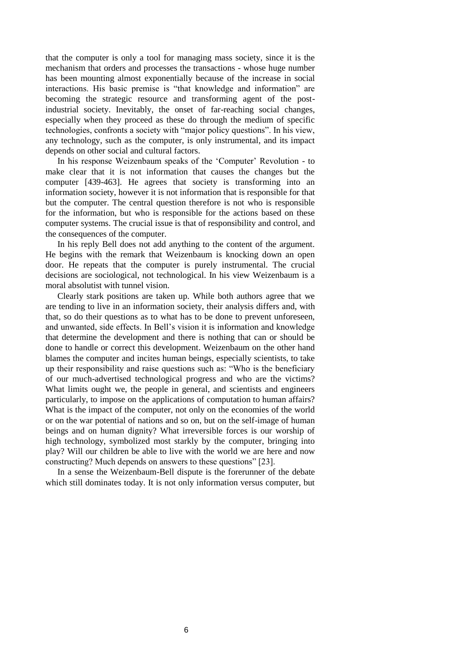that the computer is only a tool for managing mass society, since it is the mechanism that orders and processes the transactions - whose huge number has been mounting almost exponentially because of the increase in social interactions. His basic premise is "that knowledge and information" are becoming the strategic resource and transforming agent of the postindustrial society. Inevitably, the onset of far-reaching social changes, especially when they proceed as these do through the medium of specific technologies, confronts a society with "major policy questions". In his view, any technology, such as the computer, is only instrumental, and its impact depends on other social and cultural factors.

In his response Weizenbaum speaks of the 'Computer' Revolution - to make clear that it is not information that causes the changes but the computer [439-463]. He agrees that society is transforming into an information society, however it is not information that is responsible for that but the computer. The central question therefore is not who is responsible for the information, but who is responsible for the actions based on these computer systems. The crucial issue is that of responsibility and control, and the consequences of the computer.

In his reply Bell does not add anything to the content of the argument. He begins with the remark that Weizenbaum is knocking down an open door. He repeats that the computer is purely instrumental. The crucial decisions are sociological, not technological. In his view Weizenbaum is a moral absolutist with tunnel vision.

Clearly stark positions are taken up. While both authors agree that we are tending to live in an information society, their analysis differs and, with that, so do their questions as to what has to be done to prevent unforeseen, and unwanted, side effects. In Bell"s vision it is information and knowledge that determine the development and there is nothing that can or should be done to handle or correct this development. Weizenbaum on the other hand blames the computer and incites human beings, especially scientists, to take up their responsibility and raise questions such as: "Who is the beneficiary of our much-advertised technological progress and who are the victims? What limits ought we, the people in general, and scientists and engineers particularly, to impose on the applications of computation to human affairs? What is the impact of the computer, not only on the economies of the world or on the war potential of nations and so on, but on the self-image of human beings and on human dignity? What irreversible forces is our worship of high technology, symbolized most starkly by the computer, bringing into play? Will our children be able to live with the world we are here and now constructing? Much depends on answers to these questions" [23].

In a sense the Weizenbaum-Bell dispute is the forerunner of the debate which still dominates today. It is not only information versus computer, but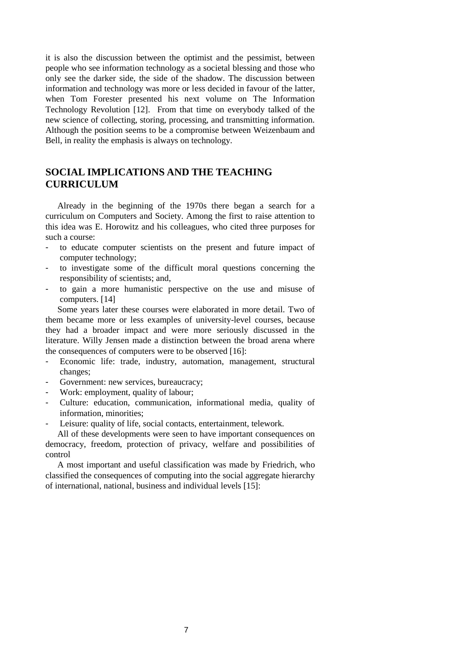it is also the discussion between the optimist and the pessimist, between people who see information technology as a societal blessing and those who only see the darker side, the side of the shadow. The discussion between information and technology was more or less decided in favour of the latter, when Tom Forester presented his next volume on The Information Technology Revolution [12]. From that time on everybody talked of the new science of collecting, storing, processing, and transmitting information. Although the position seems to be a compromise between Weizenbaum and Bell, in reality the emphasis is always on technology.

# **SOCIAL IMPLICATIONS AND THE TEACHING CURRICULUM**

Already in the beginning of the 1970s there began a search for a curriculum on Computers and Society. Among the first to raise attention to this idea was E. Horowitz and his colleagues, who cited three purposes for such a course:

- to educate computer scientists on the present and future impact of computer technology;
- to investigate some of the difficult moral questions concerning the responsibility of scientists; and,
- to gain a more humanistic perspective on the use and misuse of computers. [14]

Some years later these courses were elaborated in more detail. Two of them became more or less examples of university-level courses, because they had a broader impact and were more seriously discussed in the literature. Willy Jensen made a distinction between the broad arena where the consequences of computers were to be observed [16]:

- Economic life: trade, industry, automation, management, structural changes;
- Government: new services, bureaucracy;
- Work: employment, quality of labour;
- Culture: education, communication, informational media, quality of information, minorities;
- Leisure: quality of life, social contacts, entertainment, telework.

All of these developments were seen to have important consequences on democracy, freedom, protection of privacy, welfare and possibilities of control

A most important and useful classification was made by Friedrich, who classified the consequences of computing into the social aggregate hierarchy of international, national, business and individual levels [15]: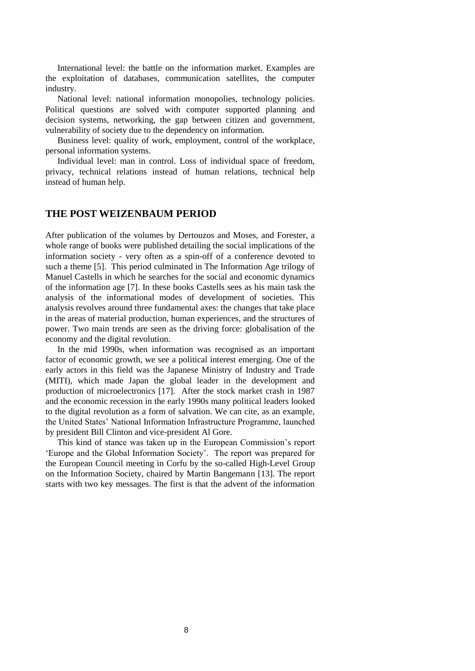International level: the battle on the information market. Examples are the exploitation of databases, communication satellites, the computer industry.

National level: national information monopolies, technology policies. Political questions are solved with computer supported planning and decision systems, networking, the gap between citizen and government, vulnerability of society due to the dependency on information.

Business level: quality of work, employment, control of the workplace, personal information systems.

Individual level: man in control. Loss of individual space of freedom, privacy, technical relations instead of human relations, technical help instead of human help.

## **THE POST WEIZENBAUM PERIOD**

After publication of the volumes by Dertouzos and Moses, and Forester, a whole range of books were published detailing the social implications of the information society - very often as a spin-off of a conference devoted to such a theme [5]. This period culminated in The Information Age trilogy of Manuel Castells in which he searches for the social and economic dynamics of the information age [7]. In these books Castells sees as his main task the analysis of the informational modes of development of societies. This analysis revolves around three fundamental axes: the changes that take place in the areas of material production, human experiences, and the structures of power. Two main trends are seen as the driving force: globalisation of the economy and the digital revolution.

In the mid 1990s, when information was recognised as an important factor of economic growth, we see a political interest emerging. One of the early actors in this field was the Japanese Ministry of Industry and Trade (MITI), which made Japan the global leader in the development and production of microelectronics [17]. After the stock market crash in 1987 and the economic recession in the early 1990s many political leaders looked to the digital revolution as a form of salvation. We can cite, as an example, the United States" National Information Infrastructure Programme, launched by president Bill Clinton and vice-president Al Gore.

This kind of stance was taken up in the European Commission"s report "Europe and the Global Information Society". The report was prepared for the European Council meeting in Corfu by the so-called High-Level Group on the Information Society, chaired by Martin Bangemann [13]. The report starts with two key messages. The first is that the advent of the information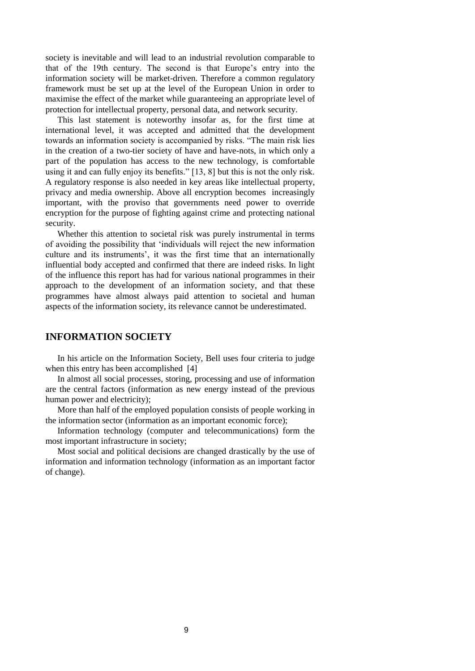society is inevitable and will lead to an industrial revolution comparable to that of the 19th century. The second is that Europe"s entry into the information society will be market-driven. Therefore a common regulatory framework must be set up at the level of the European Union in order to maximise the effect of the market while guaranteeing an appropriate level of protection for intellectual property, personal data, and network security.

This last statement is noteworthy insofar as, for the first time at international level, it was accepted and admitted that the development towards an information society is accompanied by risks. "The main risk lies in the creation of a two-tier society of have and have-nots, in which only a part of the population has access to the new technology, is comfortable using it and can fully enjoy its benefits." [13, 8] but this is not the only risk. A regulatory response is also needed in key areas like intellectual property, privacy and media ownership. Above all encryption becomes increasingly important, with the proviso that governments need power to override encryption for the purpose of fighting against crime and protecting national security.

Whether this attention to societal risk was purely instrumental in terms of avoiding the possibility that "individuals will reject the new information culture and its instruments', it was the first time that an internationally influential body accepted and confirmed that there are indeed risks. In light of the influence this report has had for various national programmes in their approach to the development of an information society, and that these programmes have almost always paid attention to societal and human aspects of the information society, its relevance cannot be underestimated.

#### **INFORMATION SOCIETY**

In his article on the Information Society, Bell uses four criteria to judge when this entry has been accomplished [4]

In almost all social processes, storing, processing and use of information are the central factors (information as new energy instead of the previous human power and electricity);

More than half of the employed population consists of people working in the information sector (information as an important economic force);

Information technology (computer and telecommunications) form the most important infrastructure in society;

Most social and political decisions are changed drastically by the use of information and information technology (information as an important factor of change).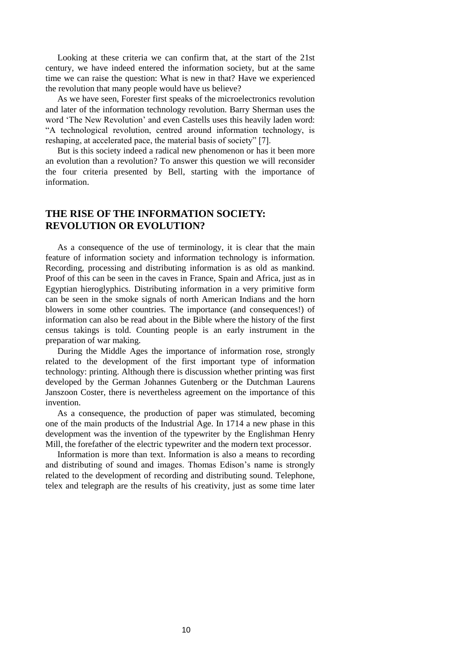Looking at these criteria we can confirm that, at the start of the 21st century, we have indeed entered the information society, but at the same time we can raise the question: What is new in that? Have we experienced the revolution that many people would have us believe?

As we have seen, Forester first speaks of the microelectronics revolution and later of the information technology revolution. Barry Sherman uses the word "The New Revolution" and even Castells uses this heavily laden word: "A technological revolution, centred around information technology, is reshaping, at accelerated pace, the material basis of society" [7].

But is this society indeed a radical new phenomenon or has it been more an evolution than a revolution? To answer this question we will reconsider the four criteria presented by Bell, starting with the importance of information.

# **THE RISE OF THE INFORMATION SOCIETY: REVOLUTION OR EVOLUTION?**

As a consequence of the use of terminology, it is clear that the main feature of information society and information technology is information. Recording, processing and distributing information is as old as mankind. Proof of this can be seen in the caves in France, Spain and Africa, just as in Egyptian hieroglyphics. Distributing information in a very primitive form can be seen in the smoke signals of north American Indians and the horn blowers in some other countries. The importance (and consequences!) of information can also be read about in the Bible where the history of the first census takings is told. Counting people is an early instrument in the preparation of war making.

During the Middle Ages the importance of information rose, strongly related to the development of the first important type of information technology: printing. Although there is discussion whether printing was first developed by the German Johannes Gutenberg or the Dutchman Laurens Janszoon Coster, there is nevertheless agreement on the importance of this invention.

As a consequence, the production of paper was stimulated, becoming one of the main products of the Industrial Age. In 1714 a new phase in this development was the invention of the typewriter by the Englishman Henry Mill, the forefather of the electric typewriter and the modern text processor.

Information is more than text. Information is also a means to recording and distributing of sound and images. Thomas Edison"s name is strongly related to the development of recording and distributing sound. Telephone, telex and telegraph are the results of his creativity, just as some time later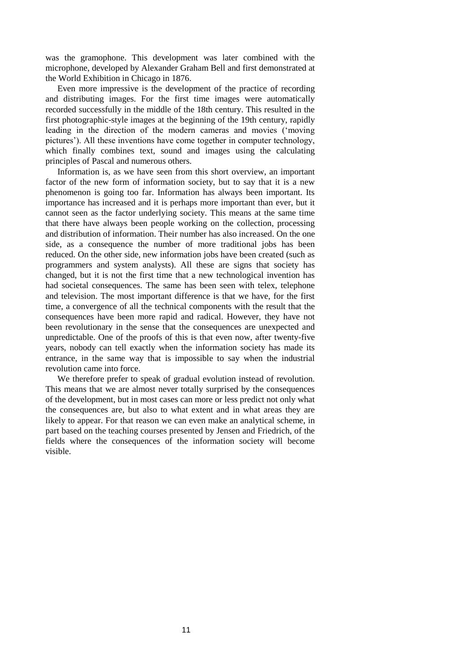was the gramophone. This development was later combined with the microphone, developed by Alexander Graham Bell and first demonstrated at the World Exhibition in Chicago in 1876.

Even more impressive is the development of the practice of recording and distributing images. For the first time images were automatically recorded successfully in the middle of the 18th century. This resulted in the first photographic-style images at the beginning of the 19th century, rapidly leading in the direction of the modern cameras and movies ("moving pictures"). All these inventions have come together in computer technology, which finally combines text, sound and images using the calculating principles of Pascal and numerous others.

Information is, as we have seen from this short overview, an important factor of the new form of information society, but to say that it is a new phenomenon is going too far. Information has always been important. Its importance has increased and it is perhaps more important than ever, but it cannot seen as the factor underlying society. This means at the same time that there have always been people working on the collection, processing and distribution of information. Their number has also increased. On the one side, as a consequence the number of more traditional jobs has been reduced. On the other side, new information jobs have been created (such as programmers and system analysts). All these are signs that society has changed, but it is not the first time that a new technological invention has had societal consequences. The same has been seen with telex, telephone and television. The most important difference is that we have, for the first time, a convergence of all the technical components with the result that the consequences have been more rapid and radical. However, they have not been revolutionary in the sense that the consequences are unexpected and unpredictable. One of the proofs of this is that even now, after twenty-five years, nobody can tell exactly when the information society has made its entrance, in the same way that is impossible to say when the industrial revolution came into force.

We therefore prefer to speak of gradual evolution instead of revolution. This means that we are almost never totally surprised by the consequences of the development, but in most cases can more or less predict not only what the consequences are, but also to what extent and in what areas they are likely to appear. For that reason we can even make an analytical scheme, in part based on the teaching courses presented by Jensen and Friedrich, of the fields where the consequences of the information society will become visible.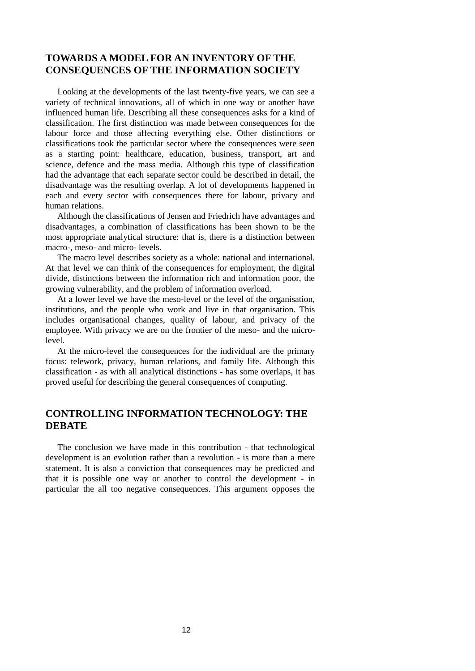## **TOWARDS A MODEL FOR AN INVENTORY OF THE CONSEQUENCES OF THE INFORMATION SOCIETY**

Looking at the developments of the last twenty-five years, we can see a variety of technical innovations, all of which in one way or another have influenced human life. Describing all these consequences asks for a kind of classification. The first distinction was made between consequences for the labour force and those affecting everything else. Other distinctions or classifications took the particular sector where the consequences were seen as a starting point: healthcare, education, business, transport, art and science, defence and the mass media. Although this type of classification had the advantage that each separate sector could be described in detail, the disadvantage was the resulting overlap. A lot of developments happened in each and every sector with consequences there for labour, privacy and human relations.

Although the classifications of Jensen and Friedrich have advantages and disadvantages, a combination of classifications has been shown to be the most appropriate analytical structure: that is, there is a distinction between macro-, meso- and micro- levels.

The macro level describes society as a whole: national and international. At that level we can think of the consequences for employment, the digital divide, distinctions between the information rich and information poor, the growing vulnerability, and the problem of information overload.

At a lower level we have the meso-level or the level of the organisation, institutions, and the people who work and live in that organisation. This includes organisational changes, quality of labour, and privacy of the employee. With privacy we are on the frontier of the meso- and the microlevel.

At the micro-level the consequences for the individual are the primary focus: telework, privacy, human relations, and family life. Although this classification - as with all analytical distinctions - has some overlaps, it has proved useful for describing the general consequences of computing.

## **CONTROLLING INFORMATION TECHNOLOGY: THE DEBATE**

The conclusion we have made in this contribution - that technological development is an evolution rather than a revolution - is more than a mere statement. It is also a conviction that consequences may be predicted and that it is possible one way or another to control the development - in particular the all too negative consequences. This argument opposes the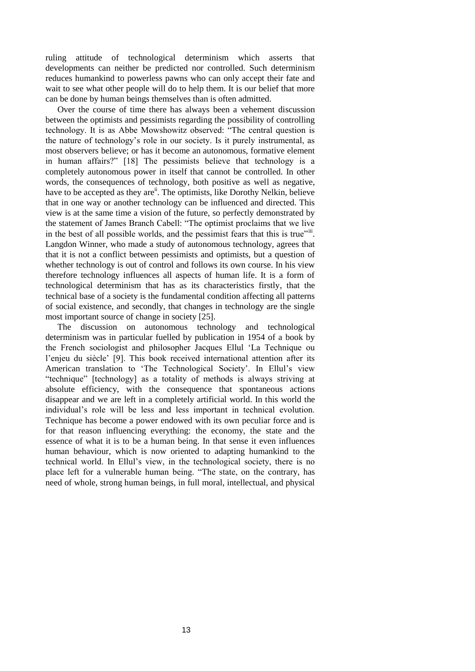ruling attitude of technological determinism which asserts that developments can neither be predicted nor controlled. Such determinism reduces humankind to powerless pawns who can only accept their fate and wait to see what other people will do to help them. It is our belief that more can be done by human beings themselves than is often admitted.

Over the course of time there has always been a vehement discussion between the optimists and pessimists regarding the possibility of controlling technology. It is as Abbe Mowshowitz observed: "The central question is the nature of technology"s role in our society. Is it purely instrumental, as most observers believe; or has it become an autonomous, formative element in human affairs?" [18] The pessimists believe that technology is a completely autonomous power in itself that cannot be controlled. In other words, the consequences of technology, both positive as well as negative, have to be accepted as they are<sup>ii</sup>. The optimists, like Dorothy Nelkin, believe that in one way or another technology can be influenced and directed. This view is at the same time a vision of the future, so perfectly demonstrated by the statement of James Branch Cabell: "The optimist proclaims that we live in the best of all possible worlds, and the pessimist fears that this is true"iii. Langdon Winner, who made a study of autonomous technology, agrees that that it is not a conflict between pessimists and optimists, but a question of whether technology is out of control and follows its own course. In his view therefore technology influences all aspects of human life. It is a form of technological determinism that has as its characteristics firstly, that the technical base of a society is the fundamental condition affecting all patterns of social existence, and secondly, that changes in technology are the single most important source of change in society [25].

The discussion on autonomous technology and technological determinism was in particular fuelled by publication in 1954 of a book by the French sociologist and philosopher Jacques Ellul "La Technique ou l"enjeu du siècle" [9]. This book received international attention after its American translation to "The Technological Society". In Ellul"s view "technique" [technology] as a totality of methods is always striving at absolute efficiency, with the consequence that spontaneous actions disappear and we are left in a completely artificial world. In this world the individual"s role will be less and less important in technical evolution. Technique has become a power endowed with its own peculiar force and is for that reason influencing everything: the economy, the state and the essence of what it is to be a human being. In that sense it even influences human behaviour, which is now oriented to adapting humankind to the technical world. In Ellul"s view, in the technological society, there is no place left for a vulnerable human being. "The state, on the contrary, has need of whole, strong human beings, in full moral, intellectual, and physical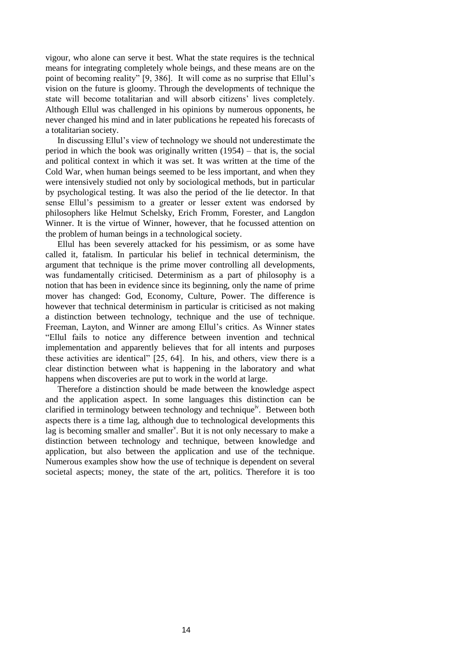vigour, who alone can serve it best. What the state requires is the technical means for integrating completely whole beings, and these means are on the point of becoming reality" [9, 386]. It will come as no surprise that Ellul"s vision on the future is gloomy. Through the developments of technique the state will become totalitarian and will absorb citizens' lives completely. Although Ellul was challenged in his opinions by numerous opponents, he never changed his mind and in later publications he repeated his forecasts of a totalitarian society.

In discussing Ellul"s view of technology we should not underestimate the period in which the book was originally written (1954) – that is, the social and political context in which it was set. It was written at the time of the Cold War, when human beings seemed to be less important, and when they were intensively studied not only by sociological methods, but in particular by psychological testing. It was also the period of the lie detector. In that sense Ellul"s pessimism to a greater or lesser extent was endorsed by philosophers like Helmut Schelsky, Erich Fromm, Forester, and Langdon Winner. It is the virtue of Winner, however, that he focussed attention on the problem of human beings in a technological society.

Ellul has been severely attacked for his pessimism, or as some have called it, fatalism. In particular his belief in technical determinism, the argument that technique is the prime mover controlling all developments, was fundamentally criticised. Determinism as a part of philosophy is a notion that has been in evidence since its beginning, only the name of prime mover has changed: God, Economy, Culture, Power. The difference is however that technical determinism in particular is criticised as not making a distinction between technology, technique and the use of technique. Freeman, Layton, and Winner are among Ellul"s critics. As Winner states "Ellul fails to notice any difference between invention and technical implementation and apparently believes that for all intents and purposes these activities are identical" [25, 64]. In his, and others, view there is a clear distinction between what is happening in the laboratory and what happens when discoveries are put to work in the world at large.

Therefore a distinction should be made between the knowledge aspect and the application aspect. In some languages this distinction can be clarified in terminology between technology and technique<sup>iv</sup>. Between both aspects there is a time lag, although due to technological developments this lag is becoming smaller and smaller<sup>v</sup>. But it is not only necessary to make a distinction between technology and technique, between knowledge and application, but also between the application and use of the technique. Numerous examples show how the use of technique is dependent on several societal aspects; money, the state of the art, politics. Therefore it is too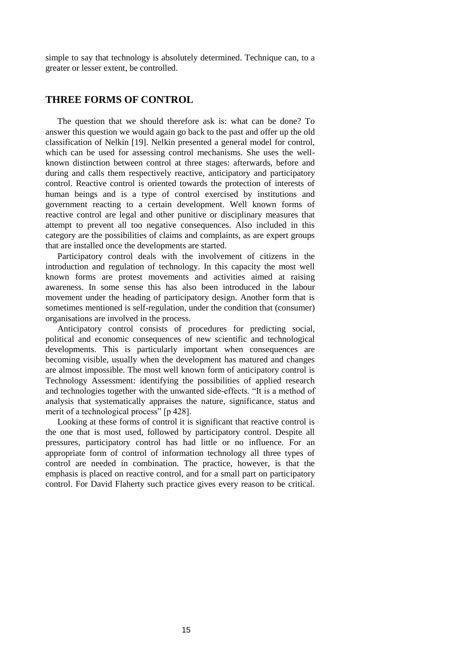simple to say that technology is absolutely determined. Technique can, to a greater or lesser extent, be controlled.

#### **THREE FORMS OF CONTROL**

The question that we should therefore ask is: what can be done? To answer this question we would again go back to the past and offer up the old classification of Nelkin [19]. Nelkin presented a general model for control, which can be used for assessing control mechanisms. She uses the wellknown distinction between control at three stages: afterwards, before and during and calls them respectively reactive, anticipatory and participatory control. Reactive control is oriented towards the protection of interests of human beings and is a type of control exercised by institutions and government reacting to a certain development. Well known forms of reactive control are legal and other punitive or disciplinary measures that attempt to prevent all too negative consequences. Also included in this category are the possibilities of claims and complaints, as are expert groups that are installed once the developments are started.

Participatory control deals with the involvement of citizens in the introduction and regulation of technology. In this capacity the most well known forms are protest movements and activities aimed at raising awareness. In some sense this has also been introduced in the labour movement under the heading of participatory design. Another form that is sometimes mentioned is self-regulation, under the condition that (consumer) organisations are involved in the process.

Anticipatory control consists of procedures for predicting social, political and economic consequences of new scientific and technological developments. This is particularly important when consequences are becoming visible, usually when the development has matured and changes are almost impossible. The most well known form of anticipatory control is Technology Assessment: identifying the possibilities of applied research and technologies together with the unwanted side-effects. "It is a method of analysis that systematically appraises the nature, significance, status and merit of a technological process" [p 428].

Looking at these forms of control it is significant that reactive control is the one that is most used, followed by participatory control. Despite all pressures, participatory control has had little or no influence. For an appropriate form of control of information technology all three types of control are needed in combination. The practice, however, is that the emphasis is placed on reactive control, and for a small part on participatory control. For David Flaherty such practice gives every reason to be critical.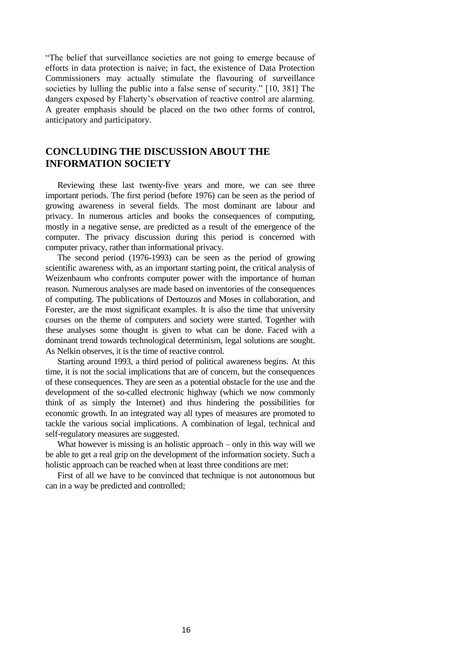"The belief that surveillance societies are not going to emerge because of efforts in data protection is naive; in fact, the existence of Data Protection Commissioners may actually stimulate the flavouring of surveillance societies by lulling the public into a false sense of security." [10, 381] The dangers exposed by Flaherty's observation of reactive control are alarming. A greater emphasis should be placed on the two other forms of control, anticipatory and participatory.

## **CONCLUDING THE DISCUSSION ABOUT THE INFORMATION SOCIETY**

Reviewing these last twenty-five years and more, we can see three important periods. The first period (before 1976) can be seen as the period of growing awareness in several fields. The most dominant are labour and privacy. In numerous articles and books the consequences of computing, mostly in a negative sense, are predicted as a result of the emergence of the computer. The privacy discussion during this period is concerned with computer privacy, rather than informational privacy.

The second period (1976-1993) can be seen as the period of growing scientific awareness with, as an important starting point, the critical analysis of Weizenbaum who confronts computer power with the importance of human reason. Numerous analyses are made based on inventories of the consequences of computing. The publications of Dertouzos and Moses in collaboration, and Forester, are the most significant examples. It is also the time that university courses on the theme of computers and society were started. Together with these analyses some thought is given to what can be done. Faced with a dominant trend towards technological determinism, legal solutions are sought. As Nelkin observes, it is the time of reactive control.

Starting around 1993, a third period of political awareness begins. At this time, it is not the social implications that are of concern, but the consequences of these consequences. They are seen as a potential obstacle for the use and the development of the so-called electronic highway (which we now commonly think of as simply the Internet) and thus hindering the possibilities for economic growth. In an integrated way all types of measures are promoted to tackle the various social implications. A combination of legal, technical and self-regulatory measures are suggested.

What however is missing is an holistic approach – only in this way will we be able to get a real grip on the development of the information society. Such a holistic approach can be reached when at least three conditions are met:

First of all we have to be convinced that technique is not autonomous but can in a way be predicted and controlled;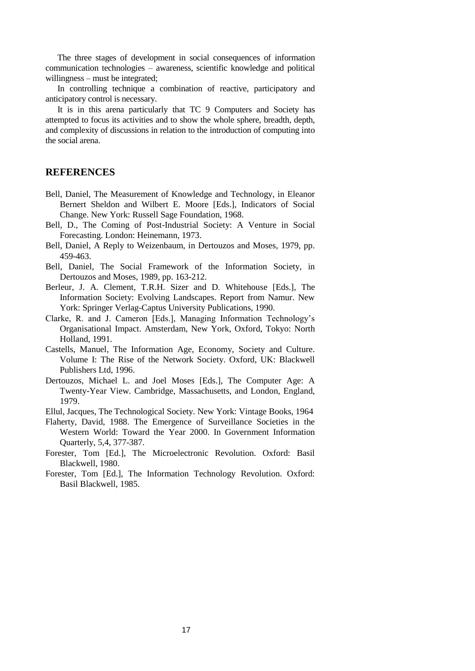The three stages of development in social consequences of information communication technologies – awareness, scientific knowledge and political willingness – must be integrated;

In controlling technique a combination of reactive, participatory and anticipatory control is necessary.

It is in this arena particularly that TC 9 Computers and Society has attempted to focus its activities and to show the whole sphere, breadth, depth, and complexity of discussions in relation to the introduction of computing into the social arena.

#### **REFERENCES**

- Bell, Daniel, The Measurement of Knowledge and Technology, in Eleanor Bernert Sheldon and Wilbert E. Moore [Eds.], Indicators of Social Change. New York: Russell Sage Foundation, 1968.
- Bell, D., The Coming of Post-Industrial Society: A Venture in Social Forecasting. London: Heinemann, 1973.
- Bell, Daniel, A Reply to Weizenbaum, in Dertouzos and Moses, 1979, pp. 459-463.
- Bell, Daniel, The Social Framework of the Information Society, in Dertouzos and Moses, 1989, pp. 163-212.
- Berleur, J. A. Clement, T.R.H. Sizer and D. Whitehouse [Eds.], The Information Society: Evolving Landscapes. Report from Namur. New York: Springer Verlag-Captus University Publications, 1990.
- Clarke, R. and J. Cameron [Eds.], Managing Information Technology"s Organisational Impact. Amsterdam, New York, Oxford, Tokyo: North Holland, 1991.
- Castells, Manuel, The Information Age, Economy, Society and Culture. Volume I: The Rise of the Network Society. Oxford, UK: Blackwell Publishers Ltd, 1996.
- Dertouzos, Michael L. and Joel Moses [Eds.], The Computer Age: A Twenty-Year View. Cambridge, Massachusetts, and London, England, 1979.

Ellul, Jacques, The Technological Society. New York: Vintage Books, 1964

- Flaherty, David, 1988. The Emergence of Surveillance Societies in the Western World: Toward the Year 2000. In Government Information Quarterly, 5,4, 377-387.
- Forester, Tom [Ed.], The Microelectronic Revolution. Oxford: Basil Blackwell, 1980.
- Forester, Tom [Ed.], The Information Technology Revolution. Oxford: Basil Blackwell, 1985.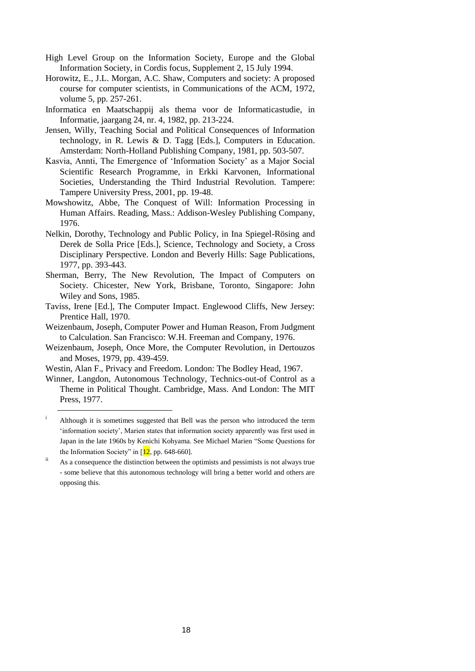- High Level Group on the Information Society, Europe and the Global Information Society, in Cordis focus, Supplement 2, 15 July 1994.
- Horowitz, E., J.L. Morgan, A.C. Shaw, Computers and society: A proposed course for computer scientists, in Communications of the ACM, 1972, volume 5, pp. 257-261.
- Informatica en Maatschappij als thema voor de Informaticastudie, in Informatie, jaargang 24, nr. 4, 1982, pp. 213-224.
- Jensen, Willy, Teaching Social and Political Consequences of Information technology, in R. Lewis & D. Tagg [Eds.], Computers in Education. Amsterdam: North-Holland Publishing Company, 1981, pp. 503-507.
- Kasvia, Annti, The Emergence of 'Information Society' as a Major Social Scientific Research Programme, in Erkki Karvonen, Informational Societies, Understanding the Third Industrial Revolution. Tampere: Tampere University Press, 2001, pp. 19-48.
- Mowshowitz, Abbe, The Conquest of Will: Information Processing in Human Affairs. Reading, Mass.: Addison-Wesley Publishing Company, 1976.
- Nelkin, Dorothy, Technology and Public Policy, in Ina Spiegel-Rösing and Derek de Solla Price [Eds.], Science, Technology and Society, a Cross Disciplinary Perspective. London and Beverly Hills: Sage Publications, 1977, pp. 393-443.
- Sherman, Berry, The New Revolution, The Impact of Computers on Society. Chicester, New York, Brisbane, Toronto, Singapore: John Wiley and Sons, 1985.
- Taviss, Irene [Ed.], The Computer Impact. Englewood Cliffs, New Jersey: Prentice Hall, 1970.
- Weizenbaum, Joseph, Computer Power and Human Reason, From Judgment to Calculation. San Francisco: W.H. Freeman and Company, 1976.
- Weizenbaum, Joseph, Once More, the Computer Revolution, in Dertouzos and Moses, 1979, pp. 439-459.
- Westin, Alan F., Privacy and Freedom. London: The Bodley Head, 1967.

-

Winner, Langdon, Autonomous Technology, Technics-out-of Control as a Theme in Political Thought. Cambridge, Mass. And London: The MIT Press, 1977.

<sup>&</sup>lt;sup>i</sup> Although it is sometimes suggested that Bell was the person who introduced the term 'information society', Marien states that information society apparently was first used in Japan in the late 1960s by Kenichi Kohyama. See Michael Marien "Some Questions for the Information Society" in  $[12, pp. 648-660]$ .

ii As a consequence the distinction between the optimists and pessimists is not always true - some believe that this autonomous technology will bring a better world and others are opposing this.